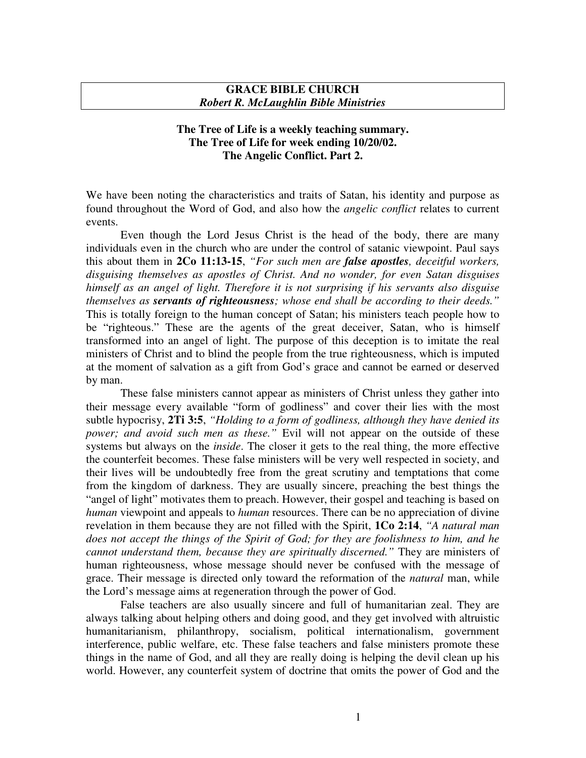## **GRACE BIBLE CHURCH** *Robert R. McLaughlin Bible Ministries*

## **The Tree of Life is a weekly teaching summary. The Tree of Life for week ending 10/20/02. The Angelic Conflict. Part 2.**

We have been noting the characteristics and traits of Satan, his identity and purpose as found throughout the Word of God, and also how the *angelic conflict* relates to current events.

Even though the Lord Jesus Christ is the head of the body, there are many individuals even in the church who are under the control of satanic viewpoint. Paul says this about them in **2Co 11:13-15**, *"For such men are false apostles, deceitful workers, disguising themselves as apostles of Christ. And no wonder, for even Satan disguises himself as an angel of light. Therefore it is not surprising if his servants also disguise themselves as servants of righteousness; whose end shall be according to their deeds."* This is totally foreign to the human concept of Satan; his ministers teach people how to be "righteous." These are the agents of the great deceiver, Satan, who is himself transformed into an angel of light. The purpose of this deception is to imitate the real ministers of Christ and to blind the people from the true righteousness, which is imputed at the moment of salvation as a gift from God's grace and cannot be earned or deserved by man.

These false ministers cannot appear as ministers of Christ unless they gather into their message every available "form of godliness" and cover their lies with the most subtle hypocrisy, **2Ti 3:5**, *"Holding to a form of godliness, although they have denied its power; and avoid such men as these."* Evil will not appear on the outside of these systems but always on the *inside*. The closer it gets to the real thing, the more effective the counterfeit becomes. These false ministers will be very well respected in society, and their lives will be undoubtedly free from the great scrutiny and temptations that come from the kingdom of darkness. They are usually sincere, preaching the best things the "angel of light" motivates them to preach. However, their gospel and teaching is based on *human* viewpoint and appeals to *human* resources. There can be no appreciation of divine revelation in them because they are not filled with the Spirit, **1Co 2:14**, *"A natural man does not accept the things of the Spirit of God; for they are foolishness to him, and he cannot understand them, because they are spiritually discerned."* They are ministers of human righteousness, whose message should never be confused with the message of grace. Their message is directed only toward the reformation of the *natural* man, while the Lord's message aims at regeneration through the power of God.

False teachers are also usually sincere and full of humanitarian zeal. They are always talking about helping others and doing good, and they get involved with altruistic humanitarianism, philanthropy, socialism, political internationalism, government interference, public welfare, etc. These false teachers and false ministers promote these things in the name of God, and all they are really doing is helping the devil clean up his world. However, any counterfeit system of doctrine that omits the power of God and the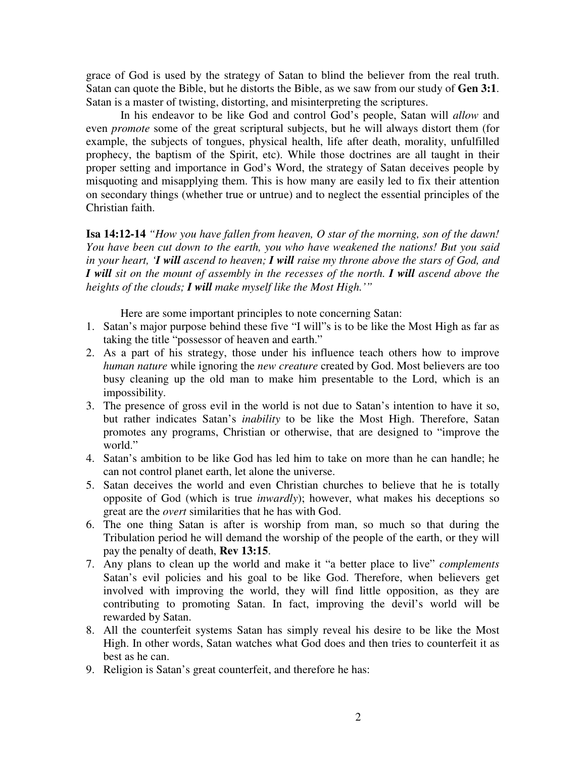grace of God is used by the strategy of Satan to blind the believer from the real truth. Satan can quote the Bible, but he distorts the Bible, as we saw from our study of **Gen 3:1**. Satan is a master of twisting, distorting, and misinterpreting the scriptures.

In his endeavor to be like God and control God's people, Satan will *allow* and even *promote* some of the great scriptural subjects, but he will always distort them (for example, the subjects of tongues, physical health, life after death, morality, unfulfilled prophecy, the baptism of the Spirit, etc). While those doctrines are all taught in their proper setting and importance in God's Word, the strategy of Satan deceives people by misquoting and misapplying them. This is how many are easily led to fix their attention on secondary things (whether true or untrue) and to neglect the essential principles of the Christian faith.

**Isa 14:12-14** *"How you have fallen from heaven, O star of the morning, son of the dawn! You have been cut down to the earth, you who have weakened the nations! But you said* in your heart, 'I will ascend to heaven; I will raise my throne above the stars of God, and *I will sit on the mount of assembly in the recesses of the north. I will ascend above the heights of the clouds; I will make myself like the Most High.'"*

Here are some important principles to note concerning Satan:

- 1. Satan's major purpose behind these five "I will"s is to be like the Most High as far as taking the title "possessor of heaven and earth."
- 2. As a part of his strategy, those under his influence teach others how to improve *human nature* while ignoring the *new creature* created by God. Most believers are too busy cleaning up the old man to make him presentable to the Lord, which is an impossibility.
- 3. The presence of gross evil in the world is not due to Satan's intention to have it so, but rather indicates Satan's *inability* to be like the Most High. Therefore, Satan promotes any programs, Christian or otherwise, that are designed to "improve the world."
- 4. Satan's ambition to be like God has led him to take on more than he can handle; he can not control planet earth, let alone the universe.
- 5. Satan deceives the world and even Christian churches to believe that he is totally opposite of God (which is true *inwardly*); however, what makes his deceptions so great are the *overt* similarities that he has with God.
- 6. The one thing Satan is after is worship from man, so much so that during the Tribulation period he will demand the worship of the people of the earth, or they will pay the penalty of death, **Rev 13:15**.
- 7. Any plans to clean up the world and make it "a better place to live" *complements* Satan's evil policies and his goal to be like God. Therefore, when believers get involved with improving the world, they will find little opposition, as they are contributing to promoting Satan. In fact, improving the devil's world will be rewarded by Satan.
- 8. All the counterfeit systems Satan has simply reveal his desire to be like the Most High. In other words, Satan watches what God does and then tries to counterfeit it as best as he can.
- 9. Religion is Satan's great counterfeit, and therefore he has: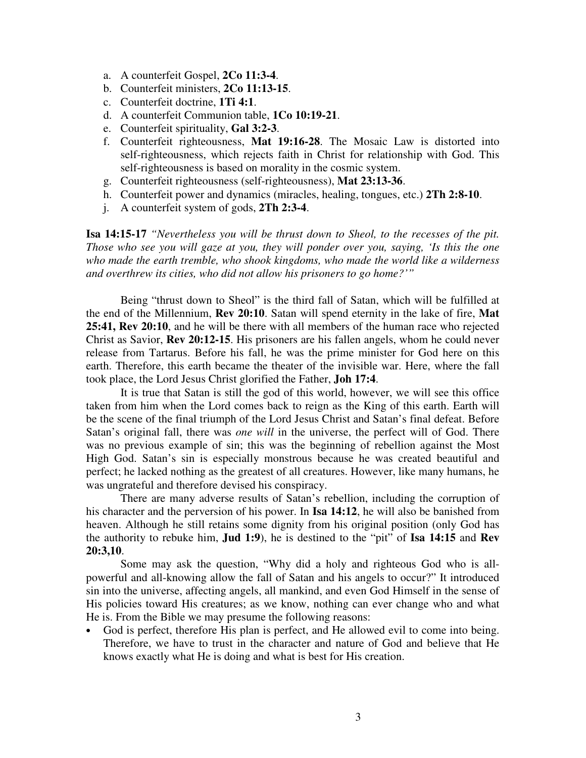- a. A counterfeit Gospel, **2Co 11:3-4**.
- b. Counterfeit ministers, **2Co 11:13-15**.
- c. Counterfeit doctrine, **1Ti 4:1**.
- d. A counterfeit Communion table, **1Co 10:19-21**.
- e. Counterfeit spirituality, **Gal 3:2-3**.
- f. Counterfeit righteousness, **Mat 19:16-28**. The Mosaic Law is distorted into self-righteousness, which rejects faith in Christ for relationship with God. This self-righteousness is based on morality in the cosmic system.
- g. Counterfeit righteousness (self-righteousness), **Mat 23:13-36**.
- h. Counterfeit power and dynamics (miracles, healing, tongues, etc.) **2Th 2:8-10**.
- j. A counterfeit system of gods, **2Th 2:3-4**.

**Isa 14:15-17** *"Nevertheless you will be thrust down to Sheol, to the recesses of the pit. Those who see you will gaze at you, they will ponder over you, saying, 'Is this the one who made the earth tremble, who shook kingdoms, who made the world like a wilderness and overthrew its cities, who did not allow his prisoners to go home?'"*

Being "thrust down to Sheol" is the third fall of Satan, which will be fulfilled at the end of the Millennium, **Rev 20:10**. Satan will spend eternity in the lake of fire, **Mat 25:41, Rev 20:10**, and he will be there with all members of the human race who rejected Christ as Savior, **Rev 20:12-15**. His prisoners are his fallen angels, whom he could never release from Tartarus. Before his fall, he was the prime minister for God here on this earth. Therefore, this earth became the theater of the invisible war. Here, where the fall took place, the Lord Jesus Christ glorified the Father, **Joh 17:4**.

It is true that Satan is still the god of this world, however, we will see this office taken from him when the Lord comes back to reign as the King of this earth. Earth will be the scene of the final triumph of the Lord Jesus Christ and Satan's final defeat. Before Satan's original fall, there was *one* will in the universe, the perfect will of God. There was no previous example of sin; this was the beginning of rebellion against the Most High God. Satan's sin is especially monstrous because he was created beautiful and perfect; he lacked nothing as the greatest of all creatures. However, like many humans, he was ungrateful and therefore devised his conspiracy.

There are many adverse results of Satan's rebellion, including the corruption of his character and the perversion of his power. In **Isa 14:12**, he will also be banished from heaven. Although he still retains some dignity from his original position (only God has the authority to rebuke him, **Jud 1:9**), he is destined to the "pit" of **Isa 14:15** and **Rev 20:3,10**.

Some may ask the question, "Why did a holy and righteous God who is allpowerful and all-knowing allow the fall of Satan and his angels to occur?" It introduced sin into the universe, affecting angels, all mankind, and even God Himself in the sense of His policies toward His creatures; as we know, nothing can ever change who and what He is. From the Bible we may presume the following reasons:

• God is perfect, therefore His plan is perfect, and He allowed evil to come into being. Therefore, we have to trust in the character and nature of God and believe that He knows exactly what He is doing and what is best for His creation.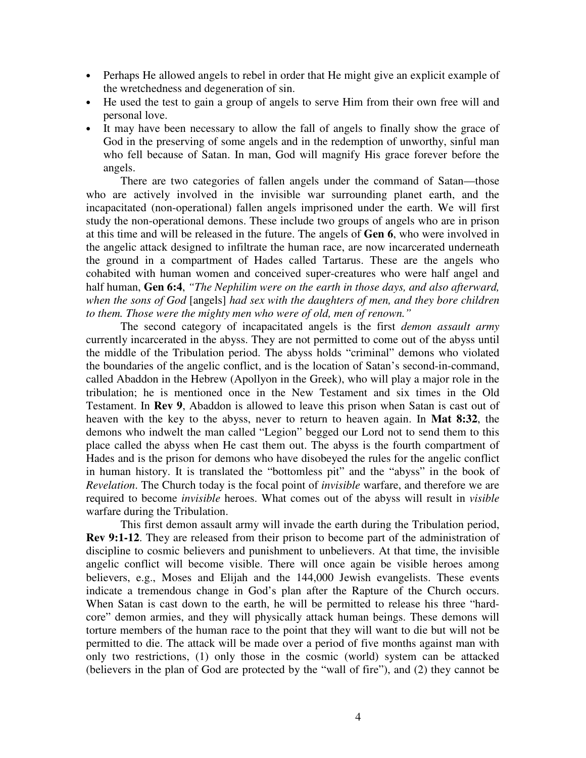- Perhaps He allowed angels to rebel in order that He might give an explicit example of the wretchedness and degeneration of sin.
- He used the test to gain a group of angels to serve Him from their own free will and personal love.
- It may have been necessary to allow the fall of angels to finally show the grace of God in the preserving of some angels and in the redemption of unworthy, sinful man who fell because of Satan. In man, God will magnify His grace forever before the angels.

There are two categories of fallen angels under the command of Satan—those who are actively involved in the invisible war surrounding planet earth, and the incapacitated (non-operational) fallen angels imprisoned under the earth. We will first study the non-operational demons. These include two groups of angels who are in prison at this time and will be released in the future. The angels of **Gen 6**, who were involved in the angelic attack designed to infiltrate the human race, are now incarcerated underneath the ground in a compartment of Hades called Tartarus. These are the angels who cohabited with human women and conceived super-creatures who were half angel and half human, **Gen 6:4**, *"The Nephilim were on the earth in those days, and also afterward, when the sons of God* [angels] *had sex with the daughters of men, and they bore children to them. Those were the mighty men who were of old, men of renown."*

The second category of incapacitated angels is the first *demon assault army* currently incarcerated in the abyss. They are not permitted to come out of the abyss until the middle of the Tribulation period. The abyss holds "criminal" demons who violated the boundaries of the angelic conflict, and is the location of Satan's second-in-command, called Abaddon in the Hebrew (Apollyon in the Greek), who will play a major role in the tribulation; he is mentioned once in the New Testament and six times in the Old Testament. In **Rev 9**, Abaddon is allowed to leave this prison when Satan is cast out of heaven with the key to the abyss, never to return to heaven again. In **Mat 8:32**, the demons who indwelt the man called "Legion" begged our Lord not to send them to this place called the abyss when He cast them out. The abyss is the fourth compartment of Hades and is the prison for demons who have disobeyed the rules for the angelic conflict in human history. It is translated the "bottomless pit" and the "abyss" in the book of *Revelation*. The Church today is the focal point of *invisible* warfare, and therefore we are required to become *invisible* heroes. What comes out of the abyss will result in *visible* warfare during the Tribulation.

This first demon assault army will invade the earth during the Tribulation period, **Rev 9:1-12**. They are released from their prison to become part of the administration of discipline to cosmic believers and punishment to unbelievers. At that time, the invisible angelic conflict will become visible. There will once again be visible heroes among believers, e.g., Moses and Elijah and the 144,000 Jewish evangelists. These events indicate a tremendous change in God's plan after the Rapture of the Church occurs. When Satan is cast down to the earth, he will be permitted to release his three "hardcore" demon armies, and they will physically attack human beings. These demons will torture members of the human race to the point that they will want to die but will not be permitted to die. The attack will be made over a period of five months against man with only two restrictions, (1) only those in the cosmic (world) system can be attacked (believers in the plan of God are protected by the "wall of fire"), and (2) they cannot be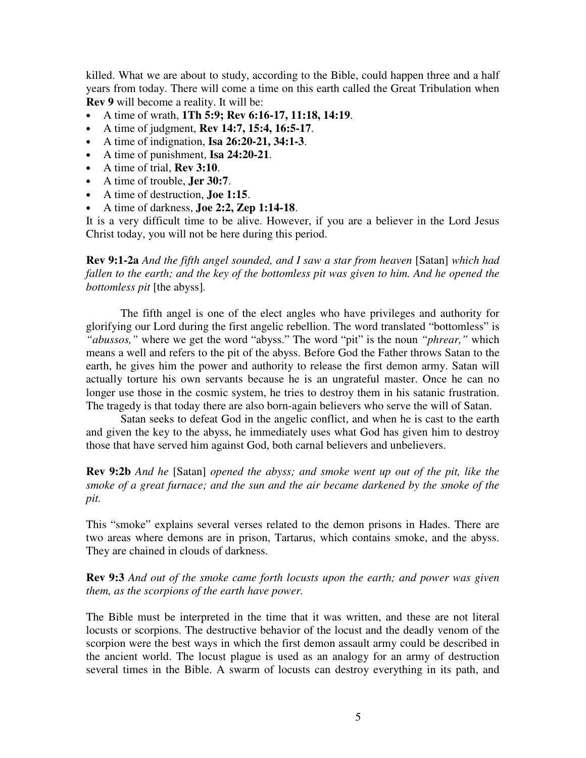killed. What we are about to study, according to the Bible, could happen three and a half years from today. There will come a time on this earth called the Great Tribulation when **Rev 9** will become a reality. It will be:

- A time of wrath, **1Th 5:9; Rev 6:16-17, 11:18, 14:19**.
- A time of judgment, **Rev 14:7, 15:4, 16:5-17**.
- A time of indignation, **Isa 26:20-21, 34:1-3**.
- A time of punishment, **Isa 24:20-21**.
- A time of trial, **Rev 3:10**.
- A time of trouble, **Jer 30:7**.
- A time of destruction, **Joe 1:15**.
- A time of darkness, **Joe 2:2, Zep 1:14-18**.

It is a very difficult time to be alive. However, if you are a believer in the Lord Jesus Christ today, you will not be here during this period.

**Rev 9:1-2a** *And the fifth angel sounded, and I saw a star from heaven* [Satan] *which had fallen to the earth; and the key of the bottomless pit was given to him. And he opened the bottomless pit* [the abyss]*.*

The fifth angel is one of the elect angles who have privileges and authority for glorifying our Lord during the first angelic rebellion. The word translated "bottomless" is *"abussos,"* where we get the word "abyss." The word "pit" is the noun *"phrear,"* which means a well and refers to the pit of the abyss. Before God the Father throws Satan to the earth, he gives him the power and authority to release the first demon army. Satan will actually torture his own servants because he is an ungrateful master. Once he can no longer use those in the cosmic system, he tries to destroy them in his satanic frustration. The tragedy is that today there are also born-again believers who serve the will of Satan.

Satan seeks to defeat God in the angelic conflict, and when he is cast to the earth and given the key to the abyss, he immediately uses what God has given him to destroy those that have served him against God, both carnal believers and unbelievers.

**Rev 9:2b** *And he* [Satan] *opened the abyss; and smoke went up out of the pit, like the smoke of a great furnace; and the sun and the air became darkened by the smoke of the pit.*

This "smoke" explains several verses related to the demon prisons in Hades. There are two areas where demons are in prison, Tartarus, which contains smoke, and the abyss. They are chained in clouds of darkness.

**Rev 9:3** *And out of the smoke came forth locusts upon the earth; and power was given them, as the scorpions of the earth have power.*

The Bible must be interpreted in the time that it was written, and these are not literal locusts or scorpions. The destructive behavior of the locust and the deadly venom of the scorpion were the best ways in which the first demon assault army could be described in the ancient world. The locust plague is used as an analogy for an army of destruction several times in the Bible. A swarm of locusts can destroy everything in its path, and